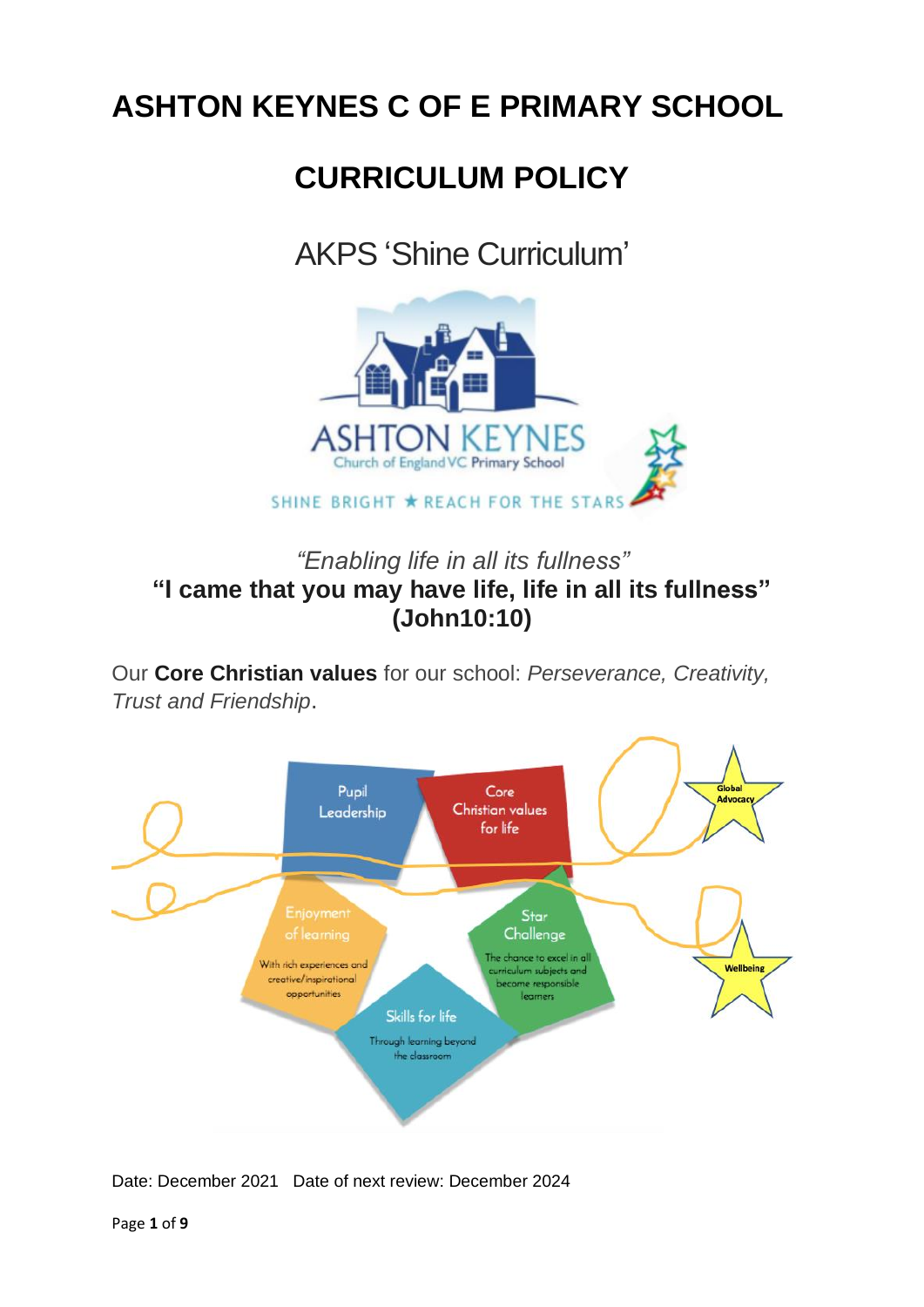# **ASHTON KEYNES C OF E PRIMARY SCHOOL**

# **CURRICULUM POLICY**

# AKPS 'Shine Curriculum'



# *"Enabling life in all its fullness"* **"I came that you may have life, life in all its fullness" (John10:10)**

Our **Core Christian values** for our school: *Perseverance, Creativity, Trust and Friendship*.



Date: December 2021Date of next review: December 2024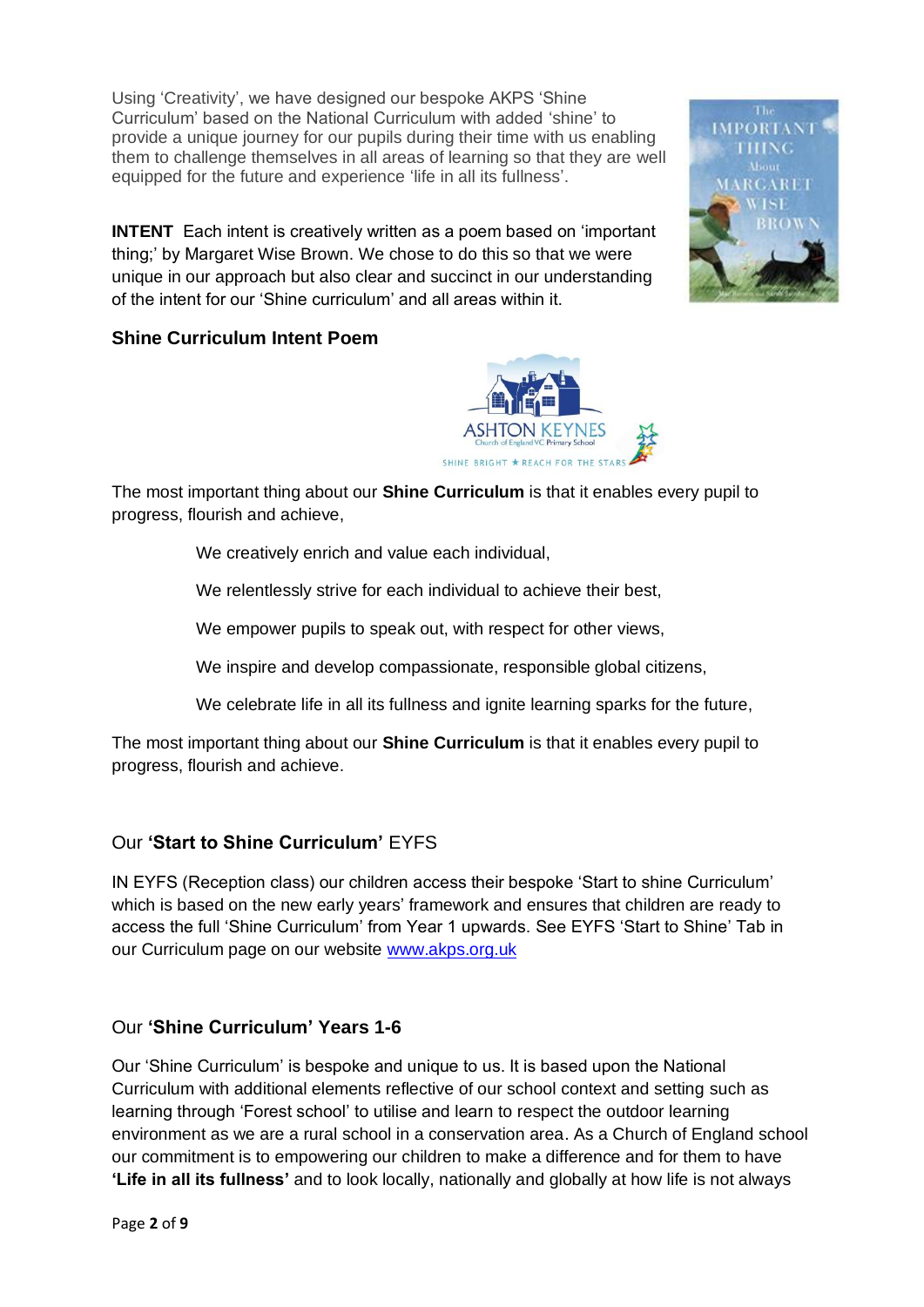Using 'Creativity', we have designed our bespoke AKPS 'Shine Curriculum' based on the National Curriculum with added 'shine' to provide a unique journey for our pupils during their time with us enabling them to challenge themselves in all areas of learning so that they are well equipped for the future and experience 'life in all its fullness'.

**[INTENT](http://www.akps.org.uk/wp-content/uploads/2020/05/Link-1-Intent.pdf)** Each intent is creatively written as a poem based on 'important thing;' by Margaret Wise Brown. We chose to do this so that we were unique in our approach but also clear and succinct in our understanding of the intent for our 'Shine curriculum' and all areas within it.



# **Shine Curriculum Intent Poem**



The most important thing about our **Shine Curriculum** is that it enables every pupil to progress, flourish and achieve,

We creatively enrich and value each individual,

We relentlessly strive for each individual to achieve their best,

We empower pupils to speak out, with respect for other views,

We inspire and develop compassionate, responsible global citizens,

We celebrate life in all its fullness and ignite learning sparks for the future,

The most important thing about our **Shine Curriculum** is that it enables every pupil to progress, flourish and achieve.

### Our **'Start to Shine Curriculum'** EYFS

IN EYFS (Reception class) our children access their bespoke 'Start to shine Curriculum' which is based on the new early years' framework and ensures that children are ready to access the full 'Shine Curriculum' from Year 1 upwards. See EYFS 'Start to Shine' Tab in our Curriculum page on our website [www.akps.org.uk](http://www.akps.org.uk/)

### Our **'Shine Curriculum' Years 1-6**

Our 'Shine Curriculum' is bespoke and unique to us. It is based upon the National Curriculum with additional elements reflective of our school context and setting such as learning through 'Forest school' to utilise and learn to respect the outdoor learning environment as we are a rural school in a conservation area. As a Church of England school our commitment is to empowering our children to make a difference and for them to have **'Life in all its fullness'** and to look locally, nationally and globally at how life is not always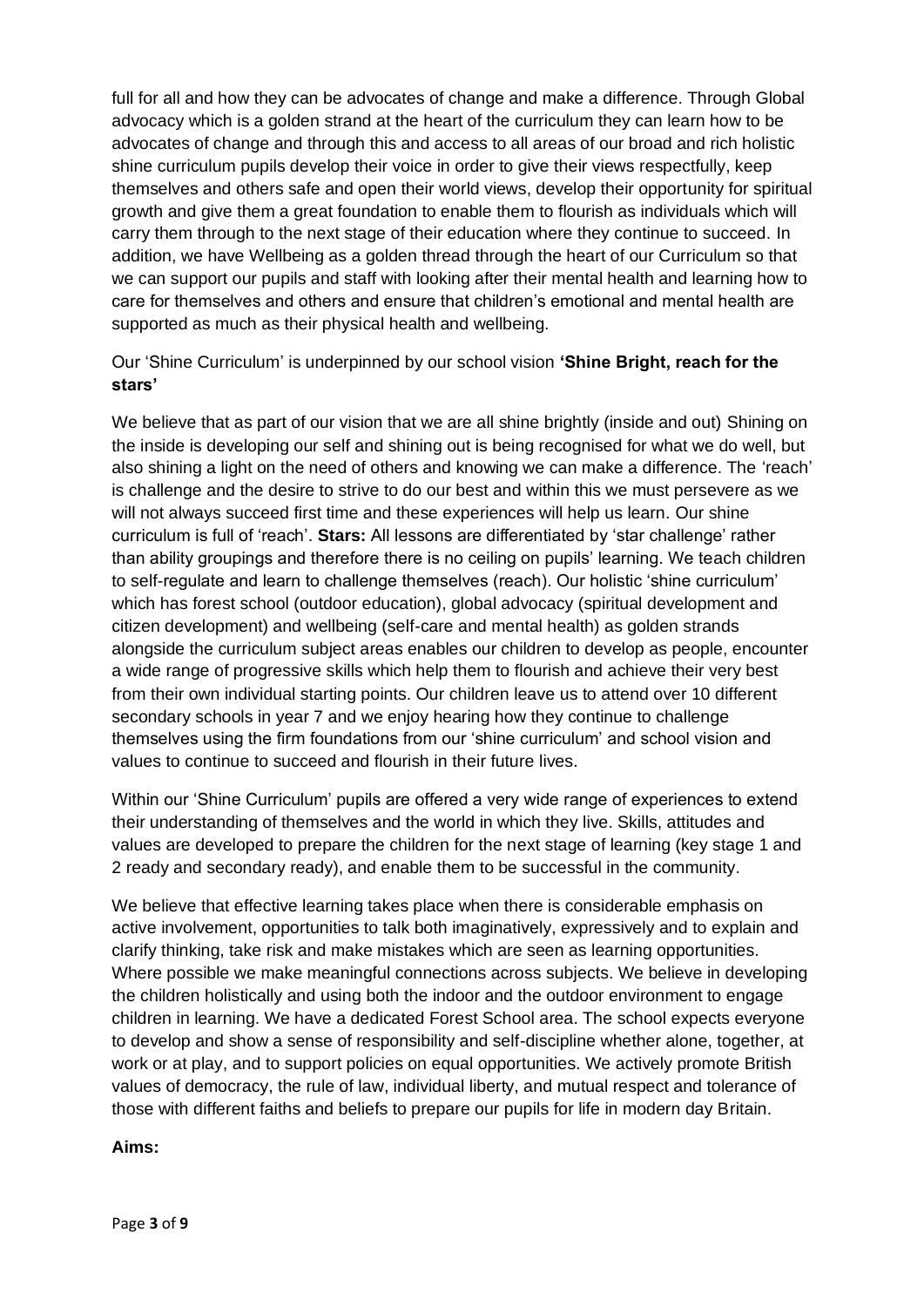full for all and how they can be advocates of change and make a difference. Through Global advocacy which is a golden strand at the heart of the curriculum they can learn how to be advocates of change and through this and access to all areas of our broad and rich holistic shine curriculum pupils develop their voice in order to give their views respectfully, keep themselves and others safe and open their world views, develop their opportunity for spiritual growth and give them a great foundation to enable them to flourish as individuals which will carry them through to the next stage of their education where they continue to succeed. In addition, we have Wellbeing as a golden thread through the heart of our Curriculum so that we can support our pupils and staff with looking after their mental health and learning how to care for themselves and others and ensure that children's emotional and mental health are supported as much as their physical health and wellbeing.

## Our 'Shine Curriculum' is underpinned by our school vision **'Shine Bright, reach for the stars'**

We believe that as part of our vision that we are all shine brightly (inside and out) Shining on the inside is developing our self and shining out is being recognised for what we do well, but also shining a light on the need of others and knowing we can make a difference. The 'reach' is challenge and the desire to strive to do our best and within this we must persevere as we will not always succeed first time and these experiences will help us learn. Our shine curriculum is full of 'reach'. **Stars:** All lessons are differentiated by 'star challenge' rather than ability groupings and therefore there is no ceiling on pupils' learning. We teach children to self-regulate and learn to challenge themselves (reach). Our holistic 'shine curriculum' which has forest school (outdoor education), global advocacy (spiritual development and citizen development) and wellbeing (self-care and mental health) as golden strands alongside the curriculum subject areas enables our children to develop as people, encounter a wide range of progressive skills which help them to flourish and achieve their very best from their own individual starting points. Our children leave us to attend over 10 different secondary schools in year 7 and we enjoy hearing how they continue to challenge themselves using the firm foundations from our 'shine curriculum' and school vision and values to continue to succeed and flourish in their future lives.

Within our 'Shine Curriculum' pupils are offered a very wide range of experiences to extend their understanding of themselves and the world in which they live. Skills, attitudes and values are developed to prepare the children for the next stage of learning (key stage 1 and 2 ready and secondary ready), and enable them to be successful in the community.

We believe that effective learning takes place when there is considerable emphasis on active involvement, opportunities to talk both imaginatively, expressively and to explain and clarify thinking, take risk and make mistakes which are seen as learning opportunities. Where possible we make meaningful connections across subjects. We believe in developing the children holistically and using both the indoor and the outdoor environment to engage children in learning. We have a dedicated Forest School area. The school expects everyone to develop and show a sense of responsibility and self-discipline whether alone, together, at work or at play, and to support policies on equal opportunities. We actively promote British values of democracy, the rule of law, individual liberty, and mutual respect and tolerance of those with different faiths and beliefs to prepare our pupils for life in modern day Britain.

#### **Aims:**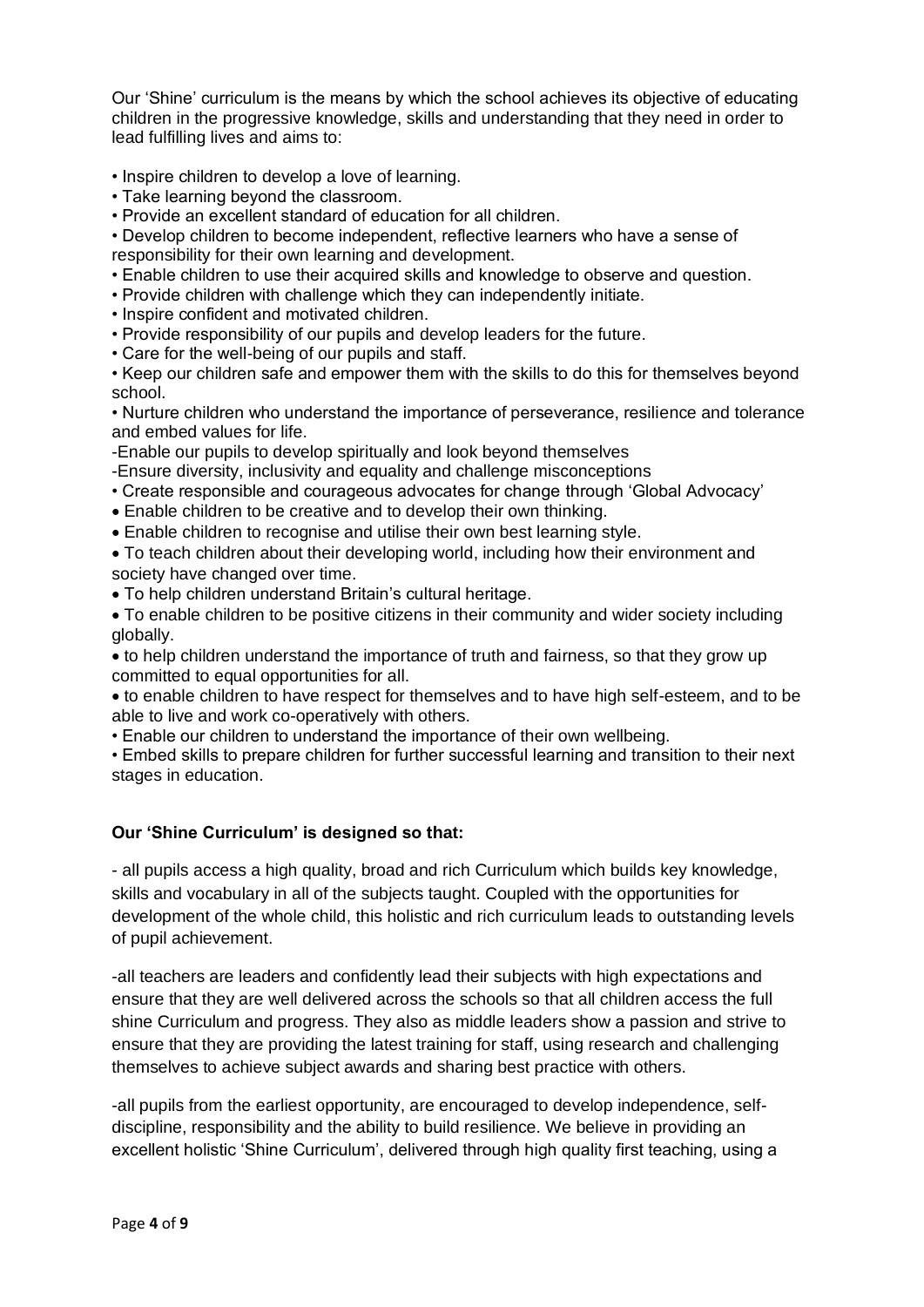Our 'Shine' curriculum is the means by which the school achieves its objective of educating children in the progressive knowledge, skills and understanding that they need in order to lead fulfilling lives and aims to:

• Inspire children to develop a love of learning.

- Take learning beyond the classroom.
- Provide an excellent standard of education for all children.

• Develop children to become independent, reflective learners who have a sense of responsibility for their own learning and development.

- Enable children to use their acquired skills and knowledge to observe and question.
- Provide children with challenge which they can independently initiate.
- Inspire confident and motivated children.
- Provide responsibility of our pupils and develop leaders for the future.
- Care for the well-being of our pupils and staff.

• Keep our children safe and empower them with the skills to do this for themselves beyond school.

• Nurture children who understand the importance of perseverance, resilience and tolerance and embed values for life.

-Enable our pupils to develop spiritually and look beyond themselves

- -Ensure diversity, inclusivity and equality and challenge misconceptions
- Create responsible and courageous advocates for change through 'Global Advocacy'
- Enable children to be creative and to develop their own thinking.
- Enable children to recognise and utilise their own best learning style.

• To teach children about their developing world, including how their environment and society have changed over time.

- To help children understand Britain's cultural heritage.
- To enable children to be positive citizens in their community and wider society including globally.

• to help children understand the importance of truth and fairness, so that they grow up committed to equal opportunities for all.

• to enable children to have respect for themselves and to have high self-esteem, and to be able to live and work co-operatively with others.

• Enable our children to understand the importance of their own wellbeing.

• Embed skills to prepare children for further successful learning and transition to their next stages in education.

#### **Our 'Shine Curriculum' is designed so that:**

- all pupils access a high quality, broad and rich Curriculum which builds key knowledge, skills and vocabulary in all of the subjects taught. Coupled with the opportunities for development of the whole child, this holistic and rich curriculum leads to outstanding levels of pupil achievement.

-all teachers are leaders and confidently lead their subjects with high expectations and ensure that they are well delivered across the schools so that all children access the full shine Curriculum and progress. They also as middle leaders show a passion and strive to ensure that they are providing the latest training for staff, using research and challenging themselves to achieve subject awards and sharing best practice with others.

-all pupils from the earliest opportunity, are encouraged to develop independence, selfdiscipline, responsibility and the ability to build resilience. We believe in providing an excellent holistic 'Shine Curriculum', delivered through high quality first teaching, using a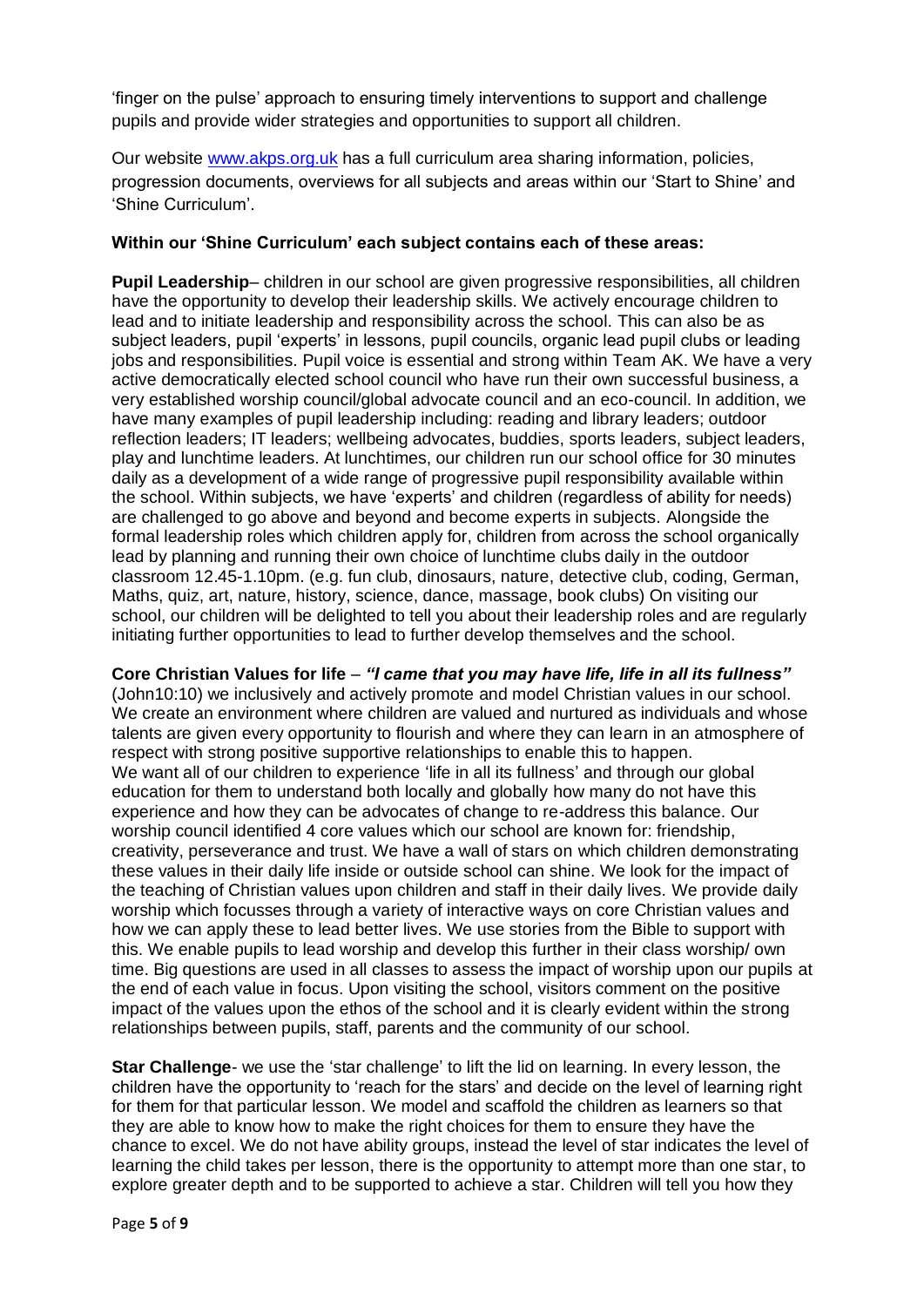'finger on the pulse' approach to ensuring timely interventions to support and challenge pupils and provide wider strategies and opportunities to support all children.

Our website [www.akps.org.uk](http://www.akps.org.uk/) has a full curriculum area sharing information, policies, progression documents, overviews for all subjects and areas within our 'Start to Shine' and 'Shine Curriculum'.

### **Within our 'Shine Curriculum' each subject contains each of these areas:**

**Pupil Leadership**– children in our school are given progressive responsibilities, all children have the opportunity to develop their leadership skills. We actively encourage children to lead and to initiate leadership and responsibility across the school. This can also be as subject leaders, pupil 'experts' in lessons, pupil councils, organic lead pupil clubs or leading jobs and responsibilities. Pupil voice is essential and strong within Team AK. We have a very active democratically elected school council who have run their own successful business, a very established worship council/global advocate council and an eco-council. In addition, we have many examples of pupil leadership including: reading and library leaders; outdoor reflection leaders; IT leaders; wellbeing advocates, buddies, sports leaders, subject leaders, play and lunchtime leaders. At lunchtimes, our children run our school office for 30 minutes daily as a development of a wide range of progressive pupil responsibility available within the school. Within subjects, we have 'experts' and children (regardless of ability for needs) are challenged to go above and beyond and become experts in subjects. Alongside the formal leadership roles which children apply for, children from across the school organically lead by planning and running their own choice of lunchtime clubs daily in the outdoor classroom 12.45-1.10pm. (e.g. fun club, dinosaurs, nature, detective club, coding, German, Maths, quiz, art, nature, history, science, dance, massage, book clubs) On visiting our school, our children will be delighted to tell you about their leadership roles and are regularly initiating further opportunities to lead to further develop themselves and the school.

**Core Christian Values for life** – *"I came that you may have life, life in all its fullness"* (John10:10) we inclusively and actively promote and model Christian values in our school. We create an environment where children are valued and nurtured as individuals and whose talents are given every opportunity to flourish and where they can learn in an atmosphere of respect with strong positive supportive relationships to enable this to happen. We want all of our children to experience 'life in all its fullness' and through our global education for them to understand both locally and globally how many do not have this experience and how they can be advocates of change to re-address this balance. Our worship council identified 4 core values which our school are known for: friendship, creativity, perseverance and trust. We have a wall of stars on which children demonstrating these values in their daily life inside or outside school can shine. We look for the impact of the teaching of Christian values upon children and staff in their daily lives. We provide daily worship which focusses through a variety of interactive ways on core Christian values and how we can apply these to lead better lives. We use stories from the Bible to support with this. We enable pupils to lead worship and develop this further in their class worship/ own time. Big questions are used in all classes to assess the impact of worship upon our pupils at the end of each value in focus. Upon visiting the school, visitors comment on the positive impact of the values upon the ethos of the school and it is clearly evident within the strong relationships between pupils, staff, parents and the community of our school.

**Star Challenge**- we use the 'star challenge' to lift the lid on learning. In every lesson, the children have the opportunity to 'reach for the stars' and decide on the level of learning right for them for that particular lesson. We model and scaffold the children as learners so that they are able to know how to make the right choices for them to ensure they have the chance to excel. We do not have ability groups, instead the level of star indicates the level of learning the child takes per lesson, there is the opportunity to attempt more than one star, to explore greater depth and to be supported to achieve a star. Children will tell you how they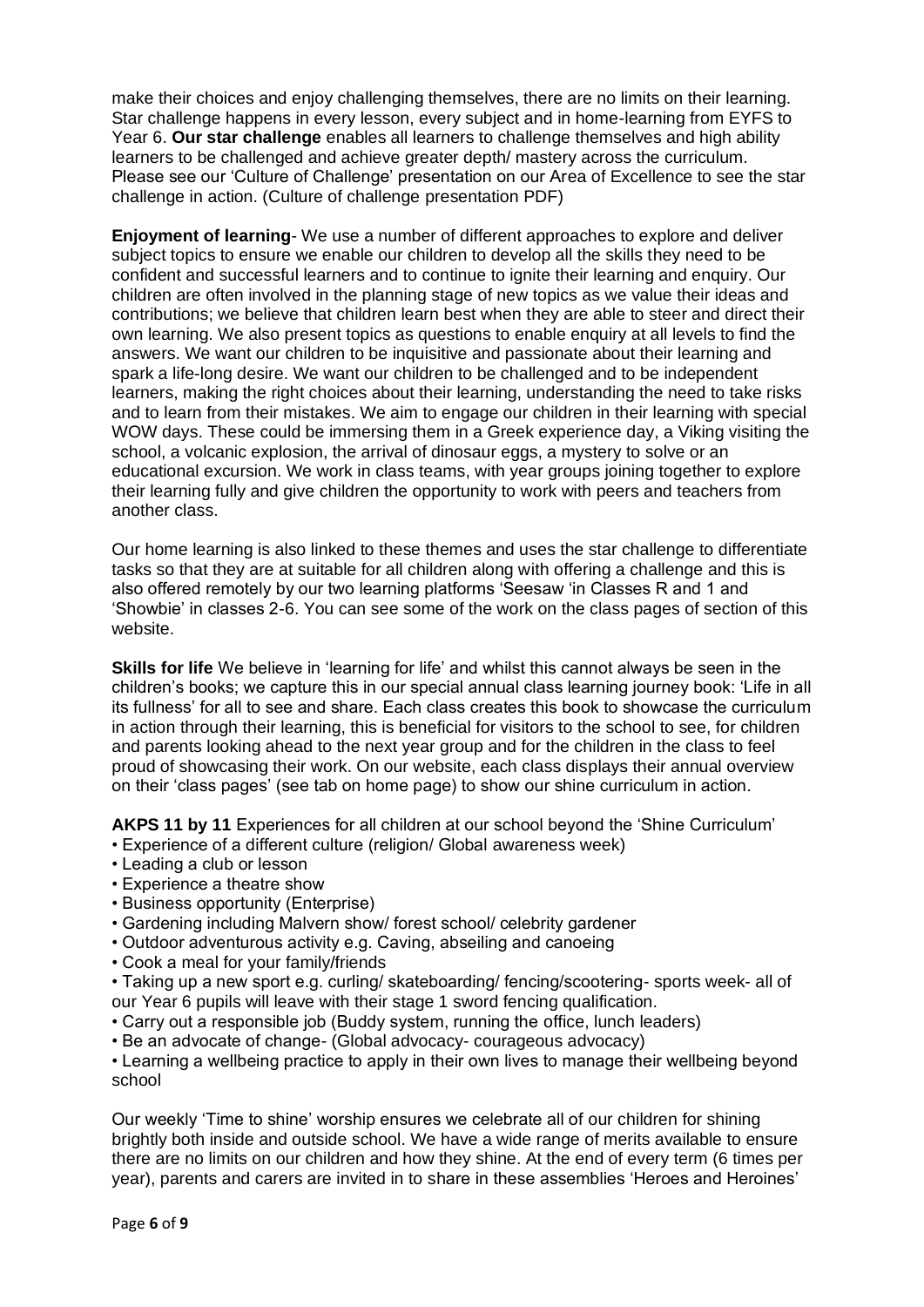make their choices and enjoy challenging themselves, there are no limits on their learning. Star challenge happens in every lesson, every subject and in home-learning from EYFS to Year 6. **Our star challenge** enables all learners to challenge themselves and high ability learners to be challenged and achieve greater depth/ mastery across the curriculum. Please see our 'Culture of Challenge' presentation on our Area of Excellence to see the star challenge in action. (Culture of challenge presentation PDF)

**Enjoyment of learning**- We use a number of different approaches to explore and deliver subject topics to ensure we enable our children to develop all the skills they need to be confident and successful learners and to continue to ignite their learning and enquiry. Our children are often involved in the planning stage of new topics as we value their ideas and contributions; we believe that children learn best when they are able to steer and direct their own learning. We also present topics as questions to enable enquiry at all levels to find the answers. We want our children to be inquisitive and passionate about their learning and spark a life-long desire. We want our children to be challenged and to be independent learners, making the right choices about their learning, understanding the need to take risks and to learn from their mistakes. We aim to engage our children in their learning with special WOW days. These could be immersing them in a Greek experience day, a Viking visiting the school, a volcanic explosion, the arrival of dinosaur eggs, a mystery to solve or an educational excursion. We work in class teams, with year groups joining together to explore their learning fully and give children the opportunity to work with peers and teachers from another class.

Our home learning is also linked to these themes and uses the star challenge to differentiate tasks so that they are at suitable for all children along with offering a challenge and this is also offered remotely by our two learning platforms 'Seesaw 'in Classes R and 1 and 'Showbie' in classes 2-6. You can see some of the work on the class pages of section of this website.

**Skills for life** We believe in 'learning for life' and whilst this cannot always be seen in the children's books; we capture this in our special annual class learning journey book: 'Life in all its fullness' for all to see and share. Each class creates this book to showcase the curriculum in action through their learning, this is beneficial for visitors to the school to see, for children and parents looking ahead to the next year group and for the children in the class to feel proud of showcasing their work. On our website, each class displays their annual overview on their 'class pages' (see tab on home page) to show our shine curriculum in action.

**AKPS 11 by 11** Experiences for all children at our school beyond the 'Shine Curriculum'

- Experience of a different culture (religion/ Global awareness week)
- Leading a club or lesson
- Experience a theatre show
- Business opportunity (Enterprise)
- Gardening including Malvern show/ forest school/ celebrity gardener
- Outdoor adventurous activity e.g. Caving, abseiling and canoeing
- Cook a meal for your family/friends

• Taking up a new sport e.g. curling/ skateboarding/ fencing/scootering- sports week- all of our Year 6 pupils will leave with their stage 1 sword fencing qualification.

- Carry out a responsible job (Buddy system, running the office, lunch leaders)
- Be an advocate of change- (Global advocacy- courageous advocacy)

• Learning a wellbeing practice to apply in their own lives to manage their wellbeing beyond school

Our weekly 'Time to shine' worship ensures we celebrate all of our children for shining brightly both inside and outside school. We have a wide range of merits available to ensure there are no limits on our children and how they shine. At the end of every term (6 times per year), parents and carers are invited in to share in these assemblies 'Heroes and Heroines'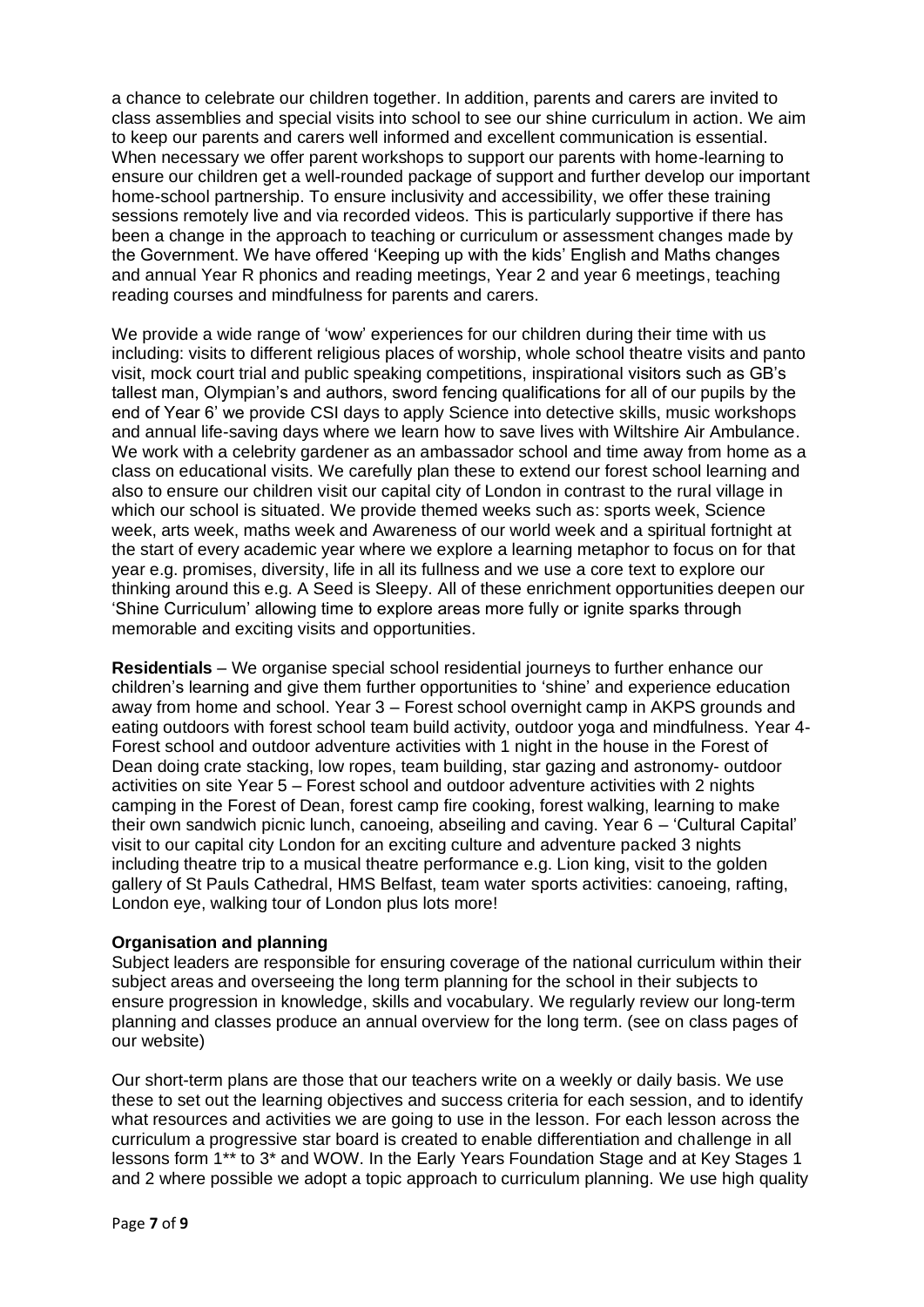a chance to celebrate our children together. In addition, parents and carers are invited to class assemblies and special visits into school to see our shine curriculum in action. We aim to keep our parents and carers well informed and excellent communication is essential. When necessary we offer parent workshops to support our parents with home-learning to ensure our children get a well-rounded package of support and further develop our important home-school partnership. To ensure inclusivity and accessibility, we offer these training sessions remotely live and via recorded videos. This is particularly supportive if there has been a change in the approach to teaching or curriculum or assessment changes made by the Government. We have offered 'Keeping up with the kids' English and Maths changes and annual Year R phonics and reading meetings, Year 2 and year 6 meetings, teaching reading courses and mindfulness for parents and carers.

We provide a wide range of 'wow' experiences for our children during their time with us including: visits to different religious places of worship, whole school theatre visits and panto visit, mock court trial and public speaking competitions, inspirational visitors such as GB's tallest man, Olympian's and authors, sword fencing qualifications for all of our pupils by the end of Year 6' we provide CSI days to apply Science into detective skills, music workshops and annual life-saving days where we learn how to save lives with Wiltshire Air Ambulance. We work with a celebrity gardener as an ambassador school and time away from home as a class on educational visits. We carefully plan these to extend our forest school learning and also to ensure our children visit our capital city of London in contrast to the rural village in which our school is situated. We provide themed weeks such as: sports week, Science week, arts week, maths week and Awareness of our world week and a spiritual fortnight at the start of every academic year where we explore a learning metaphor to focus on for that year e.g. promises, diversity, life in all its fullness and we use a core text to explore our thinking around this e.g. A Seed is Sleepy. All of these enrichment opportunities deepen our 'Shine Curriculum' allowing time to explore areas more fully or ignite sparks through memorable and exciting visits and opportunities.

**Residentials** – We organise special school residential journeys to further enhance our children's learning and give them further opportunities to 'shine' and experience education away from home and school. Year 3 – Forest school overnight camp in AKPS grounds and eating outdoors with forest school team build activity, outdoor yoga and mindfulness. Year 4- Forest school and outdoor adventure activities with 1 night in the house in the Forest of Dean doing crate stacking, low ropes, team building, star gazing and astronomy- outdoor activities on site Year 5 – Forest school and outdoor adventure activities with 2 nights camping in the Forest of Dean, forest camp fire cooking, forest walking, learning to make their own sandwich picnic lunch, canoeing, abseiling and caving. Year 6 – 'Cultural Capital' visit to our capital city London for an exciting culture and adventure packed 3 nights including theatre trip to a musical theatre performance e.g. Lion king, visit to the golden gallery of St Pauls Cathedral, HMS Belfast, team water sports activities: canoeing, rafting, London eye, walking tour of London plus lots more!

#### **Organisation and planning**

Subject leaders are responsible for ensuring coverage of the national curriculum within their subject areas and overseeing the long term planning for the school in their subjects to ensure progression in knowledge, skills and vocabulary. We regularly review our long-term planning and classes produce an annual overview for the long term. (see on class pages of our website)

Our short-term plans are those that our teachers write on a weekly or daily basis. We use these to set out the learning objectives and success criteria for each session, and to identify what resources and activities we are going to use in the lesson. For each lesson across the curriculum a progressive star board is created to enable differentiation and challenge in all lessons form 1\*\* to 3\* and WOW. In the Early Years Foundation Stage and at Key Stages 1 and 2 where possible we adopt a topic approach to curriculum planning. We use high quality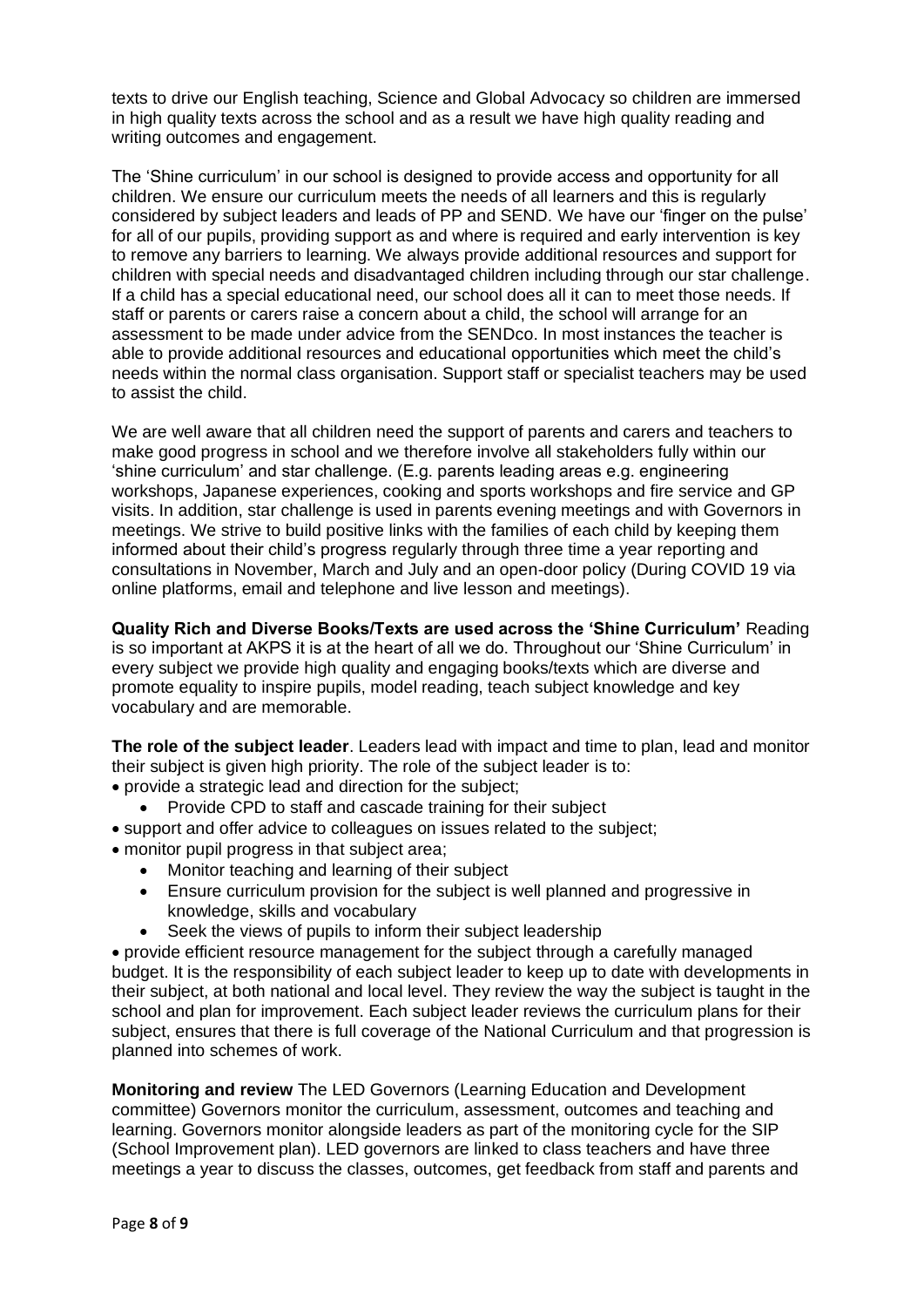texts to drive our English teaching, Science and Global Advocacy so children are immersed in high quality texts across the school and as a result we have high quality reading and writing outcomes and engagement.

The 'Shine curriculum' in our school is designed to provide access and opportunity for all children. We ensure our curriculum meets the needs of all learners and this is regularly considered by subject leaders and leads of PP and SEND. We have our 'finger on the pulse' for all of our pupils, providing support as and where is required and early intervention is key to remove any barriers to learning. We always provide additional resources and support for children with special needs and disadvantaged children including through our star challenge. If a child has a special educational need, our school does all it can to meet those needs. If staff or parents or carers raise a concern about a child, the school will arrange for an assessment to be made under advice from the SENDco. In most instances the teacher is able to provide additional resources and educational opportunities which meet the child's needs within the normal class organisation. Support staff or specialist teachers may be used to assist the child.

We are well aware that all children need the support of parents and carers and teachers to make good progress in school and we therefore involve all stakeholders fully within our 'shine curriculum' and star challenge. (E.g. parents leading areas e.g. engineering workshops, Japanese experiences, cooking and sports workshops and fire service and GP visits. In addition, star challenge is used in parents evening meetings and with Governors in meetings. We strive to build positive links with the families of each child by keeping them informed about their child's progress regularly through three time a year reporting and consultations in November, March and July and an open-door policy (During COVID 19 via online platforms, email and telephone and live lesson and meetings).

**Quality Rich and Diverse Books/Texts are used across the 'Shine Curriculum'** Reading is so important at AKPS it is at the heart of all we do. Throughout our 'Shine Curriculum' in every subject we provide high quality and engaging books/texts which are diverse and promote equality to inspire pupils, model reading, teach subject knowledge and key vocabulary and are memorable.

**The role of the subject leader**. Leaders lead with impact and time to plan, lead and monitor their subject is given high priority. The role of the subject leader is to:

- provide a strategic lead and direction for the subject;
	- Provide CPD to staff and cascade training for their subject
- support and offer advice to colleagues on issues related to the subject;
- monitor pupil progress in that subject area;
	- Monitor teaching and learning of their subject
	- Ensure curriculum provision for the subject is well planned and progressive in knowledge, skills and vocabulary
	- Seek the views of pupils to inform their subject leadership

• provide efficient resource management for the subject through a carefully managed budget. It is the responsibility of each subject leader to keep up to date with developments in their subject, at both national and local level. They review the way the subject is taught in the school and plan for improvement. Each subject leader reviews the curriculum plans for their subject, ensures that there is full coverage of the National Curriculum and that progression is planned into schemes of work.

**Monitoring and review** The LED Governors (Learning Education and Development committee) Governors monitor the curriculum, assessment, outcomes and teaching and learning. Governors monitor alongside leaders as part of the monitoring cycle for the SIP (School Improvement plan). LED governors are linked to class teachers and have three meetings a year to discuss the classes, outcomes, get feedback from staff and parents and